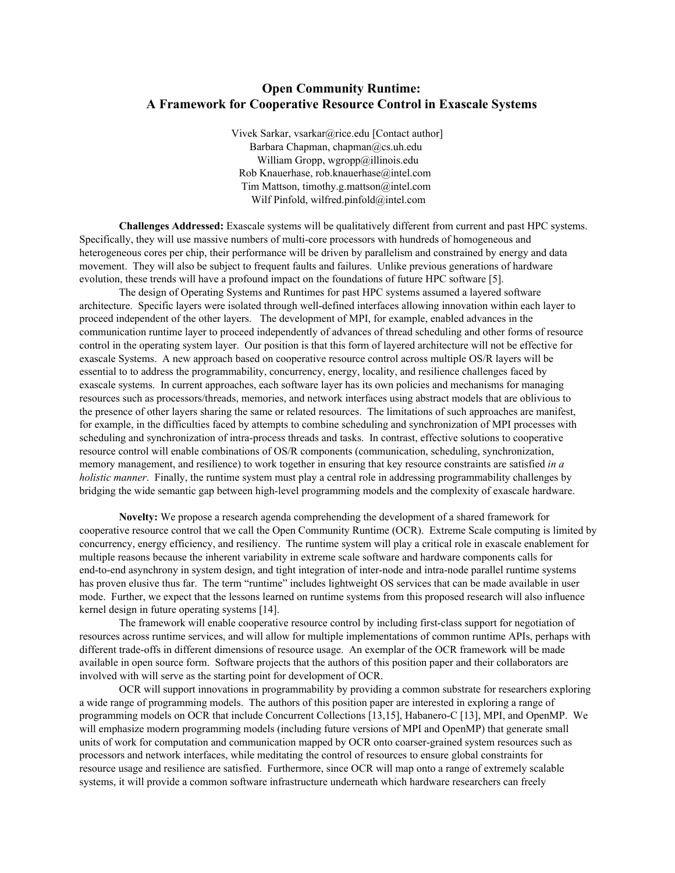## **Open Community Runtime: A Framework for Cooperative Resource Control in Exascale Systems**

Vivek Sarkar, vsarkar@rice.edu [Contact author] Barbara Chapman, chapman@cs.uh.edu William Gropp, wgropp@illinois.edu Rob Knauerhase, rob.knauerhase@intel.com Tim Mattson, timothy.g.mattson@intel.com Wilf Pinfold, wilfred.pinfold@intel.com

**Challenges Addressed:** Exascale systems will be qualitatively different from current and past HPC systems. Specifically, they will use massive numbers of multi-core processors with hundreds of homogeneous and heterogeneous cores per chip, their performance will be driven by parallelism and constrained by energy and data movement. They will also be subject to frequent faults and failures. Unlike previous generations of hardware evolution, these trends will have a profound impact on the foundations of future HPC software [5].

The design of Operating Systems and Runtimes for past HPC systems assumed a layered software architecture. Specific layers were isolated through well-defined interfaces allowing innovation within each layer to proceed independent of the other layers. The development of MPI, for example, enabled advances in the communication runtime layer to proceed independently of advances of thread scheduling and other forms of resource control in the operating system layer. Our position is that this form of layered architecture will not be effective for exascale Systems. A new approach based on cooperative resource control across multiple OS/R layers will be essential to to address the programmability, concurrency, energy, locality, and resilience challenges faced by exascale systems. In current approaches, each software layer has its own policies and mechanisms for managing resources such as processors/threads, memories, and network interfaces using abstract models that are oblivious to the presence of other layers sharing the same or related resources. The limitations of such approaches are manifest, for example, in the difficulties faced by attempts to combine scheduling and synchronization of MPI processes with scheduling and synchronization of intra-process threads and tasks. In contrast, effective solutions to cooperative resource control will enable combinations of OS/R components (communication, scheduling, synchronization, memory management, and resilience) to work together in ensuring that key resource constraints are satisfied *in a holistic manner*. Finally, the runtime system must play a central role in addressing programmability challenges by bridging the wide semantic gap between high-level programming models and the complexity of exascale hardware.

**Novelty:** We propose a research agenda comprehending the development of a shared framework for cooperative resource control that we call the Open Community Runtime (OCR). Extreme Scale computing is limited by concurrency, energy efficiency, and resiliency. The runtime system will play a critical role in exascale enablement for multiple reasons because the inherent variability in extreme scale software and hardware components calls for end-to-end asynchrony in system design, and tight integration of inter-node and intra-node parallel runtime systems has proven elusive thus far. The term "runtime" includes lightweight OS services that can be made available in user mode. Further, we expect that the lessons learned on runtime systems from this proposed research will also influence kernel design in future operating systems [14].

The framework will enable cooperative resource control by including first-class support for negotiation of resources across runtime services, and will allow for multiple implementations of common runtime APIs, perhaps with different trade-offs in different dimensions of resource usage. An exemplar of the OCR framework will be made available in open source form. Software projects that the authors of this position paper and their collaborators are involved with will serve as the starting point for development of OCR.

OCR will support innovations in programmability by providing a common substrate for researchers exploring a wide range of programming models. The authors of this position paper are interested in exploring a range of programming models on OCR that include Concurrent Collections [13,15], HabaneroC [13], MPI, and OpenMP. We will emphasize modern programming models (including future versions of MPI and OpenMP) that generate small units of work for computation and communication mapped by OCR onto coarser-grained system resources such as processors and network interfaces, while meditating the control of resources to ensure global constraints for resource usage and resilience are satisfied. Furthermore, since OCR will map onto a range of extremely scalable systems, it will provide a common software infrastructure underneath which hardware researchers can freely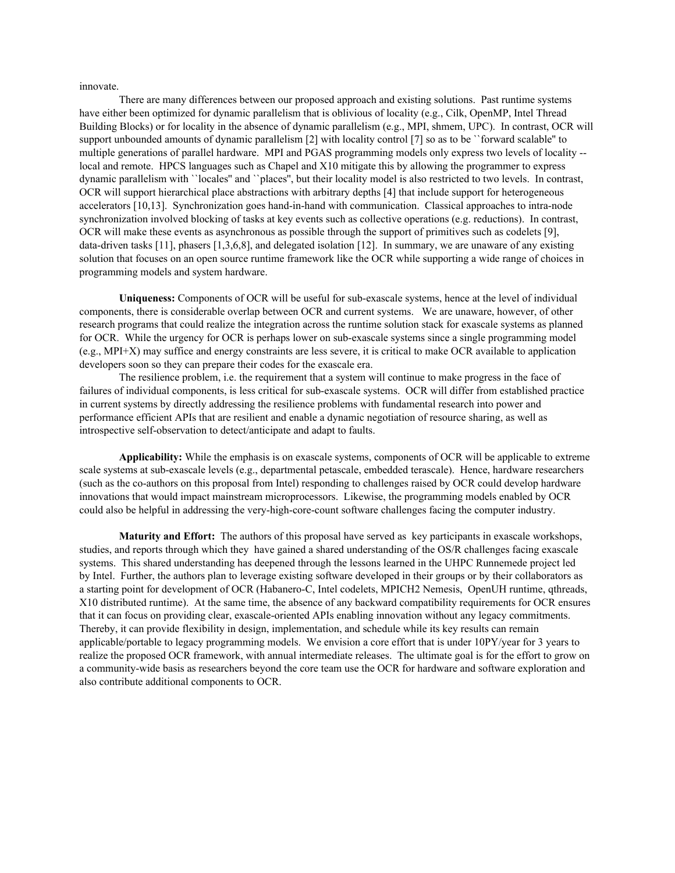innovate.

There are many differences between our proposed approach and existing solutions. Past runtime systems have either been optimized for dynamic parallelism that is oblivious of locality (e.g., Cilk, OpenMP, Intel Thread Building Blocks) or for locality in the absence of dynamic parallelism (e.g., MPI, shmem, UPC). In contrast, OCR will support unbounded amounts of dynamic parallelism [2] with locality control [7] so as to be ``forward scalable" to multiple generations of parallel hardware. MPI and PGAS programming models only express two levels of locality local and remote. HPCS languages such as Chapel and X10 mitigate this by allowing the programmer to express dynamic parallelism with ``locales'' and ``places'', but their locality model is also restricted to two levels. In contrast, OCR will support hierarchical place abstractions with arbitrary depths [4] that include support for heterogeneous accelerators [10,13]. Synchronization goes hand-in-hand with communication. Classical approaches to intra-node synchronization involved blocking of tasks at key events such as collective operations (e.g. reductions). In contrast, OCR will make these events as asynchronous as possible through the support of primitives such as codelets [9], data-driven tasks  $[11]$ , phasers  $[1,3,6,8]$ , and delegated isolation  $[12]$ . In summary, we are unaware of any existing solution that focuses on an open source runtime framework like the OCR while supporting a wide range of choices in programming models and system hardware.

**Uniqueness:** Components of OCR will be useful for subexascale systems, hence at the level of individual components, there is considerable overlap between OCR and current systems. We are unaware, however, of other research programs that could realize the integration across the runtime solution stack for exascale systems as planned for OCR. While the urgency for OCR is perhaps lower on subexascale systems since a single programming model (e.g., MPI+X) may suffice and energy constraints are less severe, it is critical to make OCR available to application developers soon so they can prepare their codes for the exascale era.

The resilience problem, i.e. the requirement that a system will continue to make progress in the face of failures of individual components, is less critical for subexascale systems. OCR will differ from established practice in current systems by directly addressing the resilience problems with fundamental research into power and performance efficient APIs that are resilient and enable a dynamic negotiation of resource sharing, as well as introspective self-observation to detect/anticipate and adapt to faults.

**Applicability:** While the emphasis is on exascale systems, components of OCR will be applicable to extreme scale systems at sub-exascale levels (e.g., departmental petascale, embedded terascale). Hence, hardware researchers (such as the co-authors on this proposal from Intel) responding to challenges raised by OCR could develop hardware innovations that would impact mainstream microprocessors. Likewise, the programming models enabled by OCR could also be helpful in addressing the very-high-core-count software challenges facing the computer industry.

**Maturity and Effort:** The authors of this proposal have served as key participants in exascale workshops, studies, and reports through which they have gained a shared understanding of the OS/R challenges facing exascale systems. This shared understanding has deepened through the lessons learned in the UHPC Runnemede project led by Intel. Further, the authors plan to leverage existing software developed in their groups or by their collaborators as a starting point for development of OCR (Habanero-C, Intel codelets, MPICH2 Nemesis, OpenUH runtime, qthreads, X10 distributed runtime). At the same time, the absence of any backward compatibility requirements for OCR ensures that it can focus on providing clear, exascale-oriented APIs enabling innovation without any legacy commitments. Thereby, it can provide flexibility in design, implementation, and schedule while its key results can remain applicable/portable to legacy programming models. We envision a core effort that is under 10PY/year for 3 years to realize the proposed OCR framework, with annual intermediate releases. The ultimate goal is for the effort to grow on a community-wide basis as researchers beyond the core team use the OCR for hardware and software exploration and also contribute additional components to OCR.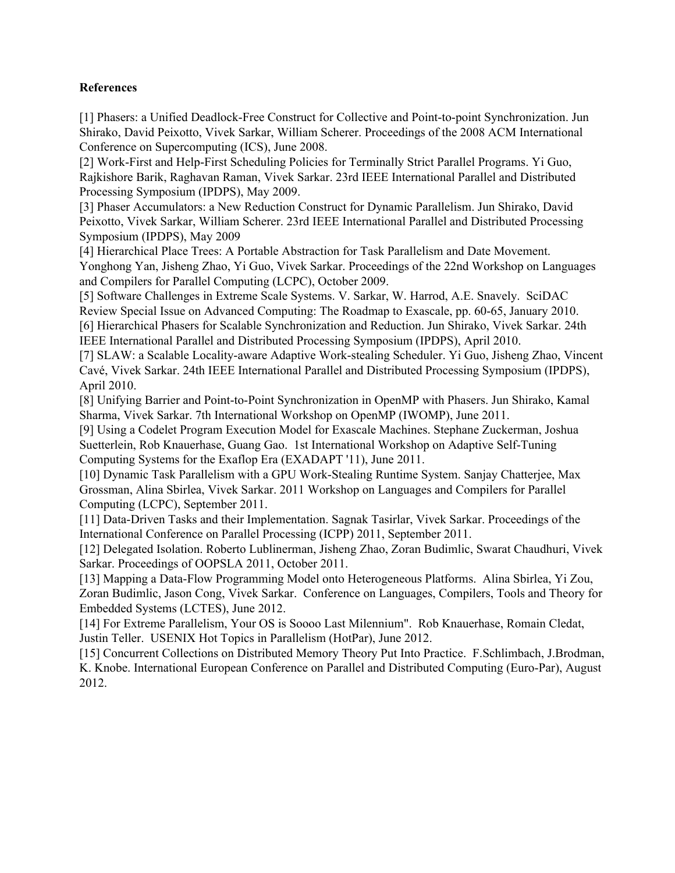# **References**

[1] Phasers: a Unified Deadlock-Free Construct for Collective and Point-to-point Synchronization. Jun Shirako, David Peixotto, Vivek Sarkar, William Scherer. Proceedings of the 2008 ACM International Conference on Supercomputing (ICS), June 2008.

[2] Work-First and Help-First Scheduling Policies for Terminally Strict Parallel Programs. Yi Guo, Rajkishore Barik, Raghavan Raman, Vivek Sarkar. 23rd IEEE International Parallel and Distributed Processing Symposium (IPDPS), May 2009.

[3] Phaser Accumulators: a New Reduction Construct for Dynamic Parallelism. Jun Shirako, David Peixotto, Vivek Sarkar, William Scherer. 23rd IEEE International Parallel and Distributed Processing Symposium (IPDPS), May 2009

[4] Hierarchical Place Trees: A Portable Abstraction for Task Parallelism and Date Movement. Yonghong Yan, Jisheng Zhao, Yi Guo, Vivek Sarkar. Proceedings of the 22nd Workshop on Languages and Compilers for Parallel Computing (LCPC), October 2009.

[5] Software Challenges in Extreme Scale Systems. V. Sarkar, W. Harrod, A.E. Snavely. SciDAC Review Special Issue on Advanced Computing: The Roadmap to Exascale, pp. 60-65, January 2010. [6] Hierarchical Phasers for Scalable Synchronization and Reduction. Jun Shirako, Vivek Sarkar. 24th IEEE International Parallel and Distributed Processing Symposium (IPDPS), April 2010.

[7] SLAW: a Scalable Locality-aware Adaptive Work-stealing Scheduler. Yi Guo, Jisheng Zhao, Vincent Cavé, Vivek Sarkar. 24th IEEE International Parallel and Distributed Processing Symposium (IPDPS), April 2010.

[8] Unifying Barrier and Point-to-Point Synchronization in OpenMP with Phasers. Jun Shirako, Kamal Sharma, Vivek Sarkar. 7th International Workshop on OpenMP (IWOMP), June 2011.

[9] Using a Codelet Program Execution Model for Exascale Machines. Stephane Zuckerman, Joshua Suetterlein, Rob Knauerhase, Guang Gao. 1st International Workshop on Adaptive Self-Tuning Computing Systems for the Exaflop Era (EXADAPT '11), June 2011.

[10] Dynamic Task Parallelism with a GPU Work-Stealing Runtime System. Sanjay Chatterjee, Max Grossman, Alina Sbirlea, Vivek Sarkar. 2011 Workshop on Languages and Compilers for Parallel Computing (LCPC), September 2011.

[11] Data-Driven Tasks and their Implementation. Sagnak Tasirlar, Vivek Sarkar. Proceedings of the International Conference on Parallel Processing (ICPP) 2011, September 2011.

[12] Delegated Isolation. Roberto Lublinerman, Jisheng Zhao, Zoran Budimlic, Swarat Chaudhuri, Vivek Sarkar. Proceedings of OOPSLA 2011, October 2011.

[13] Mapping a Data-Flow Programming Model onto Heterogeneous Platforms. Alina Sbirlea, Yi Zou, Zoran Budimlic, Jason Cong, Vivek Sarkar. Conference on Languages, Compilers, Tools and Theory for Embedded Systems (LCTES), June 2012.

[14] For Extreme Parallelism, Your OS is Soooo Last Milennium". Rob Knauerhase, Romain Cledat, Justin Teller. USENIX Hot Topics in Parallelism (HotPar), June 2012.

[15] Concurrent Collections on Distributed Memory Theory Put Into Practice. F.Schlimbach, J.Brodman, K. Knobe. International European Conference on Parallel and Distributed Computing (Euro-Par), August 2012.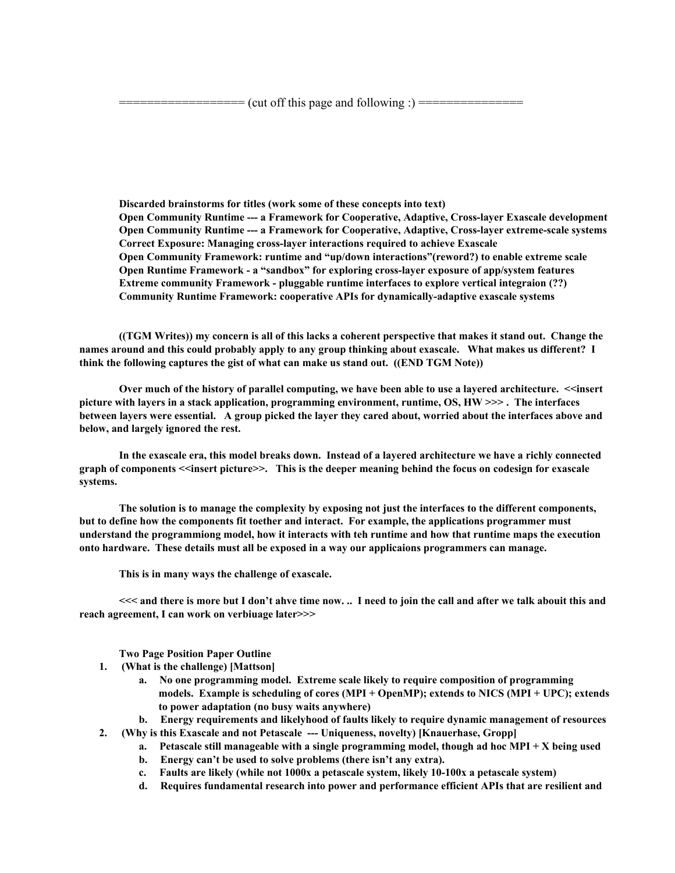**Discarded brainstorms for titles (work some of these concepts into text) Open Community Runtime a Framework for Cooperative, Adaptive, Crosslayer Exascale development Open Community Runtime a Framework for Cooperative, Adaptive, Crosslayer extremescale systems Correct Exposure: Managing crosslayer interactions required to achieve Exascale Open Community Framework: runtime and "up/down interactions"(reword?) to enable extreme scale Open Runtime Framework a "sandbox" for exploring crosslayer exposure of app/system features Extreme community Framework pluggable runtime interfaces to explore vertical integraion (??) Community Runtime Framework: cooperative APIs for dynamicallyadaptive exascale systems**

((TGM Writes)) my concern is all of this lacks a coherent perspective that makes it stand out. Change the names around and this could probably apply to any group thinking about exascale. What makes us different? I **think the following captures the gist of what can make us stand out. ((END TGM Note))**

Over much of the history of parallel computing, we have been able to use a layered architecture. << insert **picture with layers in a stack application, programming environment, runtime, OS, HW >>> . The interfaces** between layers were essential. A group picked the layer they cared about, worried about the interfaces above and **below, and largely ignored the rest.**

In the exascale era, this model breaks down. Instead of a layered architecture we have a richly connected graph of components <<insert picture>>. This is the deeper meaning behind the focus on codesign for exascale **systems.**

**The solution is to manage the complexity by exposing not just the interfaces to the different components, but to define how the components fit toether and interact. For example, the applications programmer must** understand the programmiong model, how it interacts with teh runtime and how that runtime maps the execution **onto hardware. These details must all be exposed in a way our applicaions programmers can manage.**

**This is in many ways the challenge of exascale.**

<<< and there is more but I don't ahve time now. .. I need to join the call and after we talk abouit this and **reach agreement, I can work on verbiuage later>>>**

**Two Page Position Paper Outline**

- **1. (What is the challenge) [Mattson]**
	- **a. No one programming model. Extreme scale likely to require composition of programming models. Example is scheduling of cores (MPI + OpenMP); extends to NICS (MPI + UPC); extends to power adaptation (no busy waits anywhere)**
	- **b. Energy requirements and likelyhood of faults likely to require dynamic management of resources**
- **2. (Why is this Exascale and not Petascale Uniqueness, novelty) [Knauerhase, Gropp]**
	- **a. Petascale still manageable with a single programming model, though ad hoc MPI + X being used**
	- **b. Energy can't be used to solve problems (there isn't any extra).**
	- **c. Faults are likely (while not 1000x a petascale system, likely 10100x a petascale system)**
	- **d. Requires fundamental research into power and performance efficient APIs that are resilient and**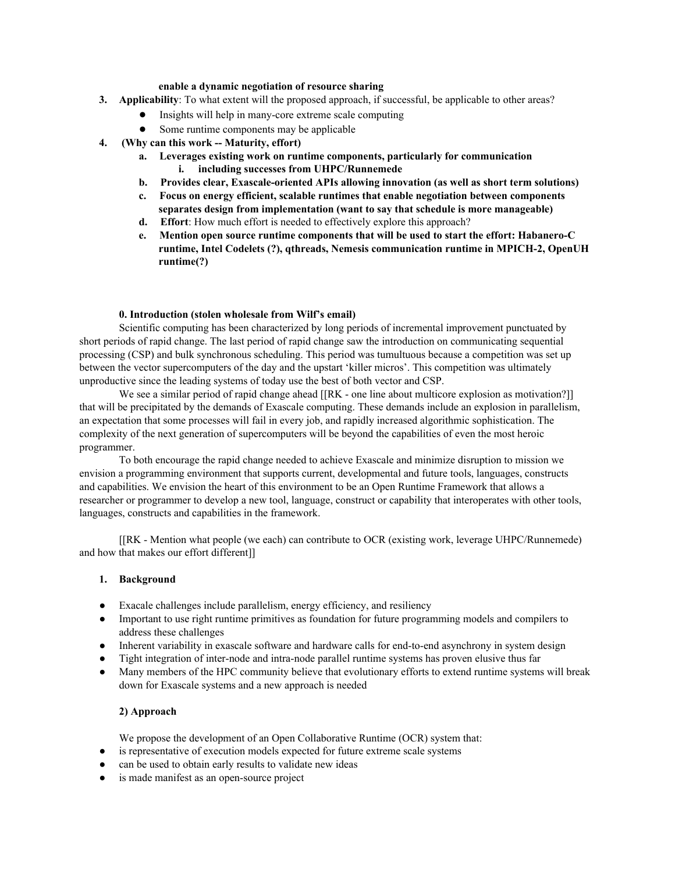#### **enable a dynamic negotiation of resource sharing**

- **3. Applicability**: To what extent will the proposed approach, if successful, be applicable to other areas?
	- Insights will help in manycore extreme scale computing
	- Some runtime components may be applicable
- **4. (Why can this work Maturity, effort)**
	- **a. Leverages existing work on runtime components, particularly for communication i. including successes from UHPC/Runnemede**
	- **b. Provides clear, Exascale-oriented APIs allowing innovation (as well as short term solutions)**
	- **c. Focus on energy efficient, scalable runtimes that enable negotiation between components separates design from implementation (want to say that schedule is more manageable)**
	- **d. Effort**: How much effort is needed to effectively explore this approach?
	- **e. Mention open source runtime components that will be used to start the effort: HabaneroC runtime, Intel Codelets (?), qthreads, Nemesis communication runtime in MPICH2, OpenUH runtime(?)**

### **0. Introduction (stolen wholesale from Wilf's email)**

Scientific computing has been characterized by long periods of incremental improvement punctuated by short periods of rapid change. The last period of rapid change saw the introduction on communicating sequential processing (CSP) and bulk synchronous scheduling. This period was tumultuous because a competition was set up between the vector supercomputers of the day and the upstart 'killer micros'. This competition was ultimately unproductive since the leading systems of today use the best of both vector and CSP.

We see a similar period of rapid change ahead [[RK - one line about multicore explosion as motivation?]] that will be precipitated by the demands of Exascale computing. These demands include an explosion in parallelism, an expectation that some processes will fail in every job, and rapidly increased algorithmic sophistication. The complexity of the next generation of supercomputers will be beyond the capabilities of even the most heroic programmer.

To both encourage the rapid change needed to achieve Exascale and minimize disruption to mission we envision a programming environment that supports current, developmental and future tools, languages, constructs and capabilities. We envision the heart of this environment to be an Open Runtime Framework that allows a researcher or programmer to develop a new tool, language, construct or capability that interoperates with other tools, languages, constructs and capabilities in the framework.

[[RK - Mention what people (we each) can contribute to OCR (existing work, leverage UHPC/Runnemede) and how that makes our effort different]]

### **1. Background**

- Exacale challenges include parallelism, energy efficiency, and resiliency
- Important to use right runtime primitives as foundation for future programming models and compilers to address these challenges
- Inherent variability in exascale software and hardware calls for end-to-end asynchrony in system design
- Tight integration of inter-node and intra-node parallel runtime systems has proven elusive thus far
- Many members of the HPC community believe that evolutionary efforts to extend runtime systems will break down for Exascale systems and a new approach is needed

### **2) Approach**

We propose the development of an Open Collaborative Runtime (OCR) system that:

- is representative of execution models expected for future extreme scale systems
- can be used to obtain early results to validate new ideas
- is made manifest as an open-source project